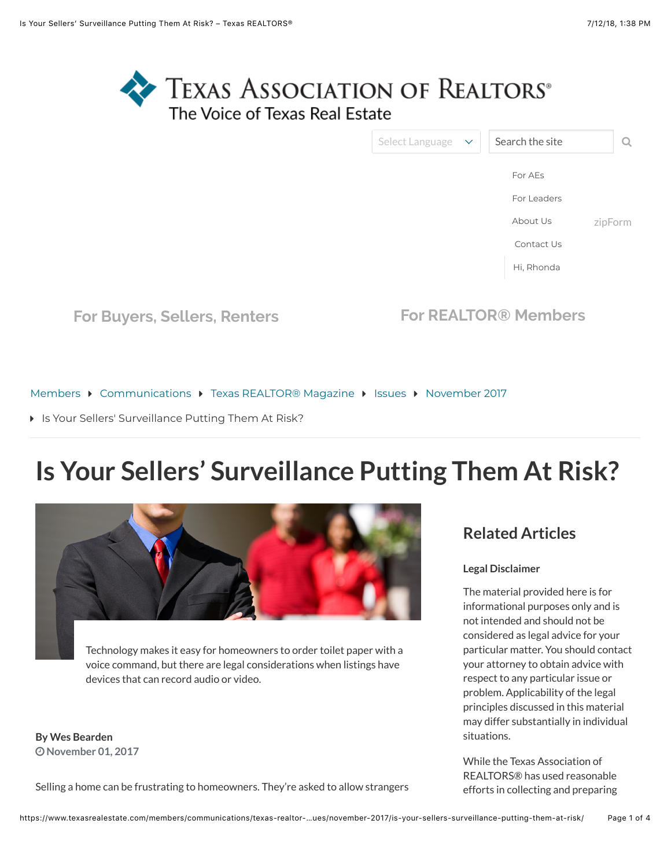

| Select Language | $\mathbf{\nabla}$ | Search the site |         |
|-----------------|-------------------|-----------------|---------|
|                 |                   | For AEs         |         |
|                 |                   | For Leaders     |         |
|                 |                   | About Us        | zipForm |
|                 |                   | Contact Us      |         |
|                 |                   | Hi, Rhonda      |         |
|                 |                   |                 |         |

**[For Buyers, Sellers, Renters](https://www.texasrealestate.com/) [For REALTOR® Members](https://www.texasrealestate.com/members/)**

[Members](https://www.texasrealestate.com/members/) ▶ [Communications](https://www.texasrealestate.com/members/communications/) ▶ [Texas REALTOR® Magazine](https://www.texasrealestate.com/members/communications/texas-realtor-magazine/) ▶ [Issues](https://www.texasrealestate.com/members/communications/texas-realtor-magazine/issues/) ▶ [November 2017](https://www.texasrealestate.com/members/communications/texas-realtor-magazine/issues/november-2017/)

**I** [Is Your Sellers' Surveillance Putting Them At Risk?](https://www.texasrealestate.com/members/communications/texas-realtor-magazine/issues/november-2017/is-your-sellers-surveillance-putting-them-at-risk/#)

# **Is Your Sellers' Surveillance Putting Them At Risk?**



Technology makes it easy for homeowners to order toilet paper with a voice command, but there are legal considerations when listings have devices that can record audio or video.

**By Wes Bearden** " **November 01, 2017**

Selling a home can be frustrating to homeowners. They're asked to allow strangers

#### **Related Articles**

#### **Legal Disclaimer**

The material provided here is for informational purposes only and is not intended and should not be considered as legal advice for your particular matter. You should contact your attorney to obtain advice with respect to any particular issue or problem. Applicability of the legal principles discussed in this material may differ substantially in individual situations.

While the Texas Association of REALTORS® has used reasonable efforts in collecting and preparing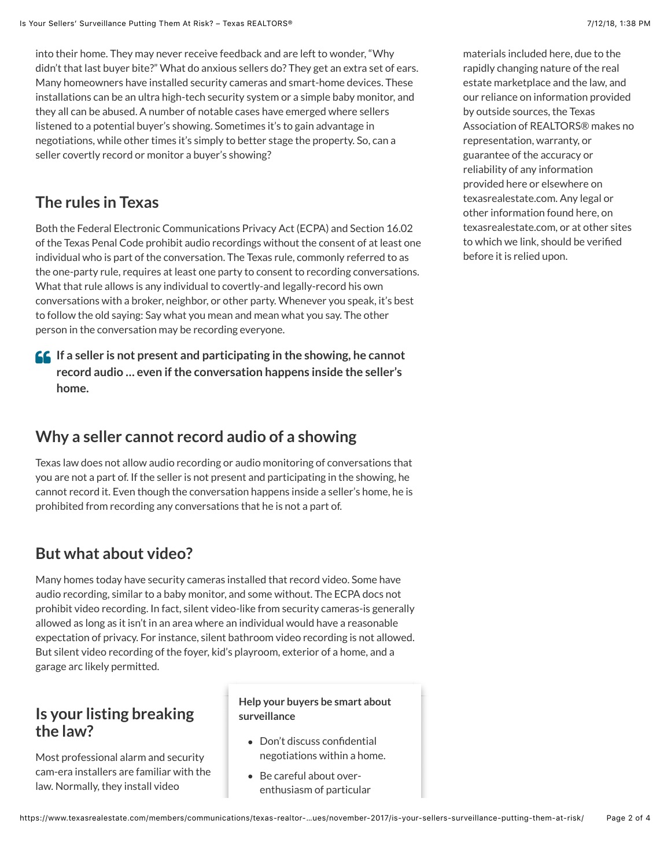into their home. They may never receive feedback and are left to wonder, "Why didn't that last buyer bite?" What do anxious sellers do? They get an extra set of ears. Many homeowners have installed security cameras and smart-home devices. These installations can be an ultra high-tech security system or a simple baby monitor, and they all can be abused. A number of notable cases have emerged where sellers listened to a potential buyer's showing. Sometimes it's to gain advantage in negotiations, while other times it's simply to better stage the property. So, can a seller covertly record or monitor a buyer's showing?

## **The rules in Texas**

Both the Federal Electronic Communications Privacy Act (ECPA) and Section 16.02 of the Texas Penal Code prohibit audio recordings without the consent of at least one individual who is part of the conversation. The Texas rule, commonly referred to as the one-party rule, requires at least one party to consent to recording conversations. What that rule allows is any individual to covertly-and legally-record his own conversations with a broker, neighbor, or other party. Whenever you speak, it's best to follow the old saying: Say what you mean and mean what you say. The other person in the conversation may be recording everyone.

**If a seller is not present and participating in the showing, he cannot** \$**record audio … even if the conversation happens inside the seller's home.**

#### **Why a seller cannot record audio of a showing**

Texas law does not allow audio recording or audio monitoring of conversations that you are not a part of. If the seller is not present and participating in the showing, he cannot record it. Even though the conversation happens inside a seller's home, he is prohibited from recording any conversations that he is not a part of.

# **But what about video?**

Many homes today have security cameras installed that record video. Some have audio recording, similar to a baby monitor, and some without. The ECPA docs not prohibit video recording. In fact, silent video-like from security cameras-is generally allowed as long as it isn't in an area where an individual would have a reasonable expectation of privacy. For instance, silent bathroom video recording is not allowed. But silent video recording of the foyer, kid's playroom, exterior of a home, and a garage arc likely permitted.

## **Is your listing breaking the law?**

Most professional alarm and security cam-era installers are familiar with the law. Normally, they install video

#### **Help your buyers be smart about surveillance**

- Don't discuss confidential negotiations within a home.
- Be careful about overenthusiasm of particular

before it is relied upon.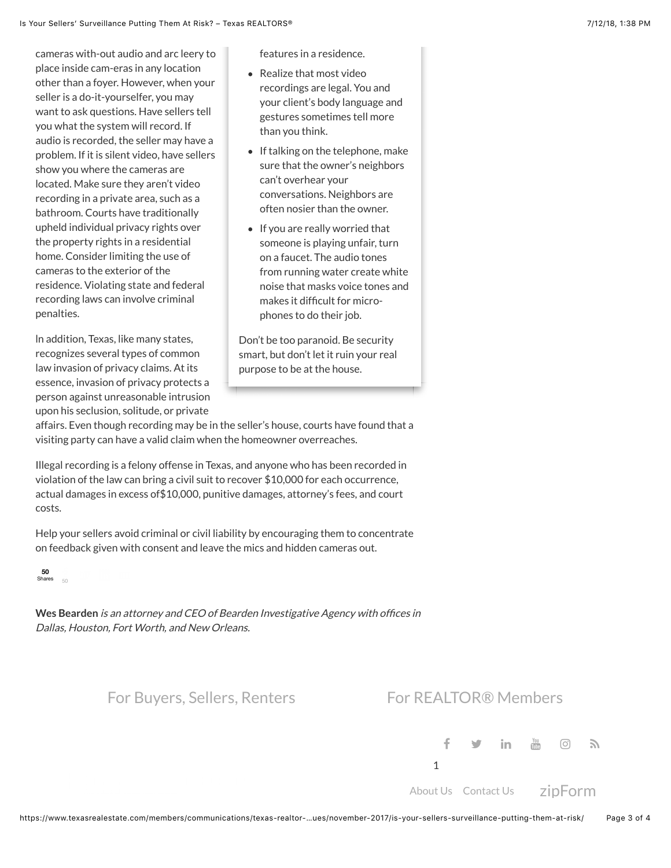cameras with-out audio and arc leery to place inside cam-eras in any location other than a foyer. However, when your seller is a do-it-yourselfer, you may want to ask questions. Have sellers tell you what the system will record. If audio is recorded, the seller may have a problem. If it is silent video, have sellers show you where the cameras are located. Make sure they aren't video recording in a private area, such as a bathroom. Courts have traditionally upheld individual privacy rights over the property rights in a residential home. Consider limiting the use of cameras to the exterior of the residence. Violating state and federal recording laws can involve criminal penalties.

ln addition, Texas, like many states, recognizes several types of common law invasion of privacy claims. At its essence, invasion of privacy protects a person against unreasonable intrusion upon his seclusion, solitude, or private

features in a residence.

- Realize that most video recordings are legal. You and your client's body language and gestures sometimes tell more than you think.
- If talking on the telephone, make sure that the owner's neighbors can't overhear your conversations. Neighbors are often nosier than the owner.
- If you are really worried that someone is playing unfair, turn on a faucet. The audio tones from running water create white noise that masks voice tones and makes it difficult for microphones to do their job.

Don't be too paranoid. Be security smart, but don't let it ruin your real purpose to be at the house.

affairs. Even though recording may be in the seller's house, courts have found that a visiting party can have a valid claim when the homeowner overreaches.

Illegal recording is a felony offense in Texas, and anyone who has been recorded in violation of the law can bring a civil suit to recover \$10,000 for each occurrence, actual damages in excess of\$10,000, punitive damages, attorney's fees, and court costs.

Help your sellers avoid criminal or civil liability by encouraging them to concentrate on feedback given with consent and leave the mics and hidden cameras out.

**[50](javascript:void(0);)**<br>Shares <sub>50</sub>

**Wes Bearden** is an attorney and CEO of Bearden Investigative Agency with offices in Dallas, Houston, Fort Worth, and New Orleans.

[For Buyers, Sellers, Renters](https://www.texasrealestate.com/) [For REALTOR® Members](https://www.texasrealestate.com/members)

[%](https://www.facebook.com/TexasRealtors) [&](http://www.twitter.com/TXRealtors) ['](http://www.linkedin.com/groups?gid=1094017) [\(](http://www.youtube.com/TexasRealtors) [\)](https://www.instagram.com/txrealtors/) [\\*](https://www.texasrealestate.com/feed/) 1

[About Us](https://www.texasrealestate.com/about-us/) [Contact Us](https://www.texasrealestate.com/about-us/who-we-are/contact-us/) zipForm